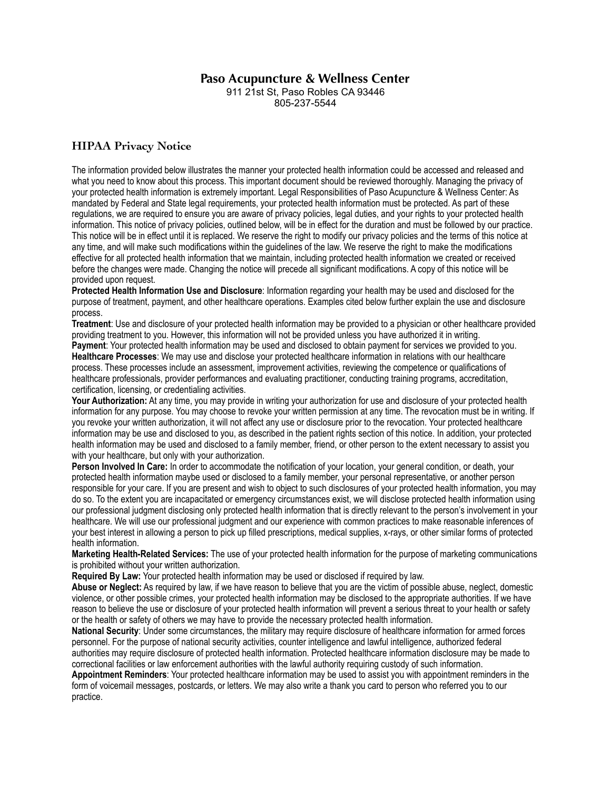## **Paso Acupuncture & Wellness Center**

911 21st St, Paso Robles CA 93446 805-237-5544

## **HIPAA Privacy Notice**

The information provided below illustrates the manner your protected health information could be accessed and released and what you need to know about this process. This important document should be reviewed thoroughly. Managing the privacy of your protected health information is extremely important. Legal Responsibilities of Paso Acupuncture & Wellness Center: As mandated by Federal and State legal requirements, your protected health information must be protected. As part of these regulations, we are required to ensure you are aware of privacy policies, legal duties, and your rights to your protected health information. This notice of privacy policies, outlined below, will be in effect for the duration and must be followed by our practice. This notice will be in effect until it is replaced. We reserve the right to modify our privacy policies and the terms of this notice at any time, and will make such modifications within the guidelines of the law. We reserve the right to make the modifications effective for all protected health information that we maintain, including protected health information we created or received before the changes were made. Changing the notice will precede all significant modifications. A copy of this notice will be provided upon request.

**Protected Health Information Use and Disclosure**: Information regarding your health may be used and disclosed for the purpose of treatment, payment, and other healthcare operations. Examples cited below further explain the use and disclosure process.

**Treatment**: Use and disclosure of your protected health information may be provided to a physician or other healthcare provided providing treatment to you. However, this information will not be provided unless you have authorized it in writing.

**Payment**: Your protected health information may be used and disclosed to obtain payment for services we provided to you. **Healthcare Processes**: We may use and disclose your protected healthcare information in relations with our healthcare process. These processes include an assessment, improvement activities, reviewing the competence or qualifications of healthcare professionals, provider performances and evaluating practitioner, conducting training programs, accreditation, certification, licensing, or credentialing activities.

**Your Authorization:** At any time, you may provide in writing your authorization for use and disclosure of your protected health information for any purpose. You may choose to revoke your written permission at any time. The revocation must be in writing. If you revoke your written authorization, it will not affect any use or disclosure prior to the revocation. Your protected healthcare information may be use and disclosed to you, as described in the patient rights section of this notice. In addition, your protected health information may be used and disclosed to a family member, friend, or other person to the extent necessary to assist you with your healthcare, but only with your authorization.

**Person Involved In Care:** In order to accommodate the notification of your location, your general condition, or death, your protected health information maybe used or disclosed to a family member, your personal representative, or another person responsible for your care. If you are present and wish to object to such disclosures of your protected health information, you may do so. To the extent you are incapacitated or emergency circumstances exist, we will disclose protected health information using our professional judgment disclosing only protected health information that is directly relevant to the person's involvement in your healthcare. We will use our professional judgment and our experience with common practices to make reasonable inferences of your best interest in allowing a person to pick up filled prescriptions, medical supplies, x-rays, or other similar forms of protected health information.

**Marketing Health-Related Services:** The use of your protected health information for the purpose of marketing communications is prohibited without your written authorization.

**Required By Law:** Your protected health information may be used or disclosed if required by law.

**Abuse or Neglect:** As required by law, if we have reason to believe that you are the victim of possible abuse, neglect, domestic violence, or other possible crimes, your protected health information may be disclosed to the appropriate authorities. If we have reason to believe the use or disclosure of your protected health information will prevent a serious threat to your health or safety or the health or safety of others we may have to provide the necessary protected health information.

**National Security**: Under some circumstances, the military may require disclosure of healthcare information for armed forces personnel. For the purpose of national security activities, counter intelligence and lawful intelligence, authorized federal authorities may require disclosure of protected health information. Protected healthcare information disclosure may be made to correctional facilities or law enforcement authorities with the lawful authority requiring custody of such information.

**Appointment Reminders**: Your protected healthcare information may be used to assist you with appointment reminders in the form of voicemail messages, postcards, or letters. We may also write a thank you card to person who referred you to our practice.